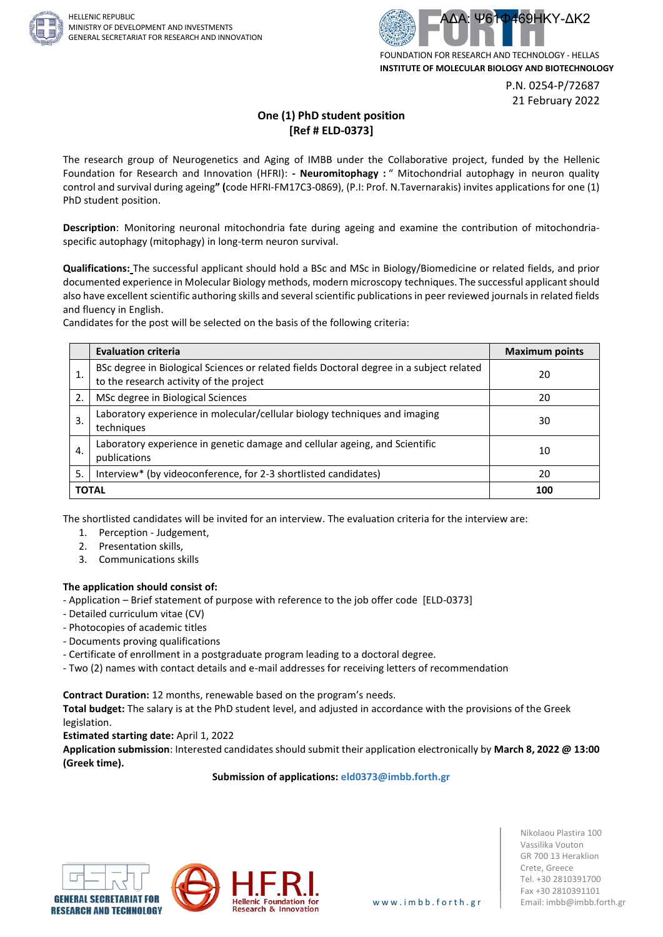



P.N. 0254-P/72687 21 February 2022

## **One (1) PhD student position [Ref # ELD-0373]**

The research group of Neurogenetics and Aging of IMBB under the Collaborative project, funded by the Hellenic Foundation for Research and Innovation (HFRI): **- Neuromitophagy :** " Mitochondrial autophagy in neuron quality control and survival during ageing**" (**code HFRI-FM17C3-0869), (P.I: Prof. N.Tavernarakis) invites applications for one (1) PhD student position.

**Description**: Monitoring neuronal mitochondria fate during ageing and examine the contribution of mitochondriaspecific autophagy (mitophagy) in long-term neuron survival.

**Qualifications:** The successful applicant should hold a BSc and MSc in Biology/Biomedicine or related fields, and prior documented experience in Molecular Biology methods, modern microscopy techniques. The successful applicant should also have excellent scientific authoring skills and several scientific publications in peer reviewed journals in related fields and fluency in English.

Candidates for the post will be selected on the basis of the following criteria:

|              | <b>Evaluation criteria</b>                                                                                                          | <b>Maximum points</b> |
|--------------|-------------------------------------------------------------------------------------------------------------------------------------|-----------------------|
|              | BSc degree in Biological Sciences or related fields Doctoral degree in a subject related<br>to the research activity of the project | 20                    |
| 2.           | MSc degree in Biological Sciences                                                                                                   | 20                    |
| 3.           | Laboratory experience in molecular/cellular biology techniques and imaging<br>techniques                                            | 30                    |
| 4.           | Laboratory experience in genetic damage and cellular ageing, and Scientific<br>publications                                         | 10                    |
| 5.           | Interview* (by videoconference, for 2-3 shortlisted candidates)                                                                     | 20                    |
| <b>TOTAL</b> |                                                                                                                                     | 100                   |

The shortlisted candidates will be invited for an interview. The evaluation criteria for the interview are:

- 1. Perception Judgement,
- 2. Presentation skills,
- 3. Communications skills

## **The application should consist of:**

- Application Brief statement of purpose with reference to the job offer code [ELD-0373]
- Detailed curriculum vitae (CV)
- Photocopies of academic titles
- Documents proving qualifications
- Certificate of enrollment in a postgraduate program leading to a doctoral degree.
- Two (2) names with contact details and e-mail addresses for receiving letters of recommendation

**Contract Duration:** 12 months, renewable based on the program's needs.

**Total budget:** The salary is at the PhD student level, and adjusted in accordance with the provisions of the Greek legislation.

**Estimated starting date:** April 1, 2022

**Application submission**: Interested candidates should submit their application electronically by **March 8, 2022 @ 13:00 (Greek time).**

**Submission of applications: eld0373@imbb.forth.gr**